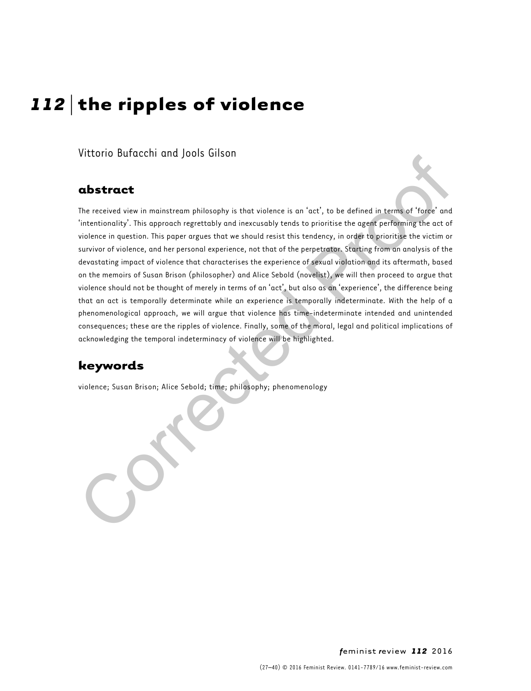# 112 the ripples of violence

Vittorio Bufacchi and Jools Gilson

#### abstract

The received view in mainstream philosophy is that violence is an 'act', to be defined in terms of 'force' and 'intentionality'. This approach regrettably and inexcusably tends to prioritise the agent performing the act of violence in question. This paper argues that we should resist this tendency, in order to prioritise the victim or survivor of violence, and her personal experience, not that of the perpetrator. Starting from an analysis of the devastating impact of violence that characterises the experience of sexual violation and its aftermath, based on the memoirs of Susan Brison (philosopher) and Alice Sebold (novelist), we will then proceed to argue that violence should not be thought of merely in terms of an 'act', but also as an 'experience', the difference being that an act is temporally determinate while an experience is temporally indeterminate. With the help of a phenomenological approach, we will argue that violence has time-indeterminate intended and unintended consequences; these are the ripples of violence. Finally, some of the moral, legal and political implications of acknowledging the temporal indeterminacy of violence will be highlighted. **Constrained**<br>
The received view in mainstream philosophy is that violence is an 'cet', to be defined in terms of 'forge' and<br>
"intertitionality". This approach regrettably and increasingly tends to priorities the agent pe

# keywords

violence; Susan Brison; Alice Sebold; time; philosophy; phenomenology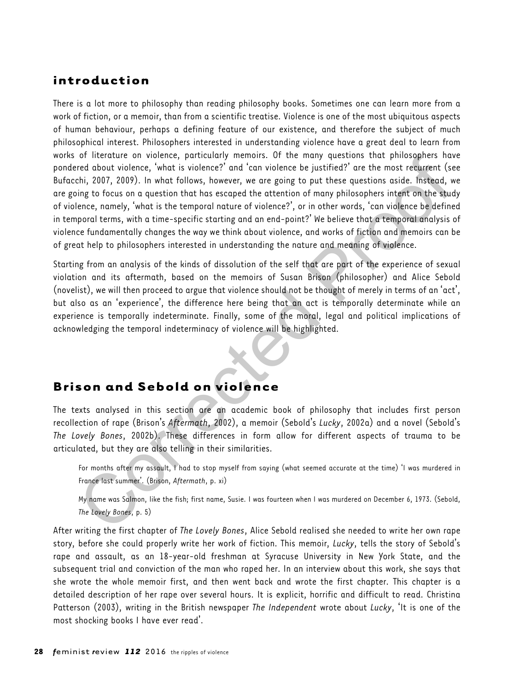# introduction

There is a lot more to philosophy than reading philosophy books. Sometimes one can learn more from a work of fiction, or a memoir, than from a scientific treatise. Violence is one of the most ubiquitous aspects of human behaviour, perhaps a defining feature of our existence, and therefore the subject of much philosophical interest. Philosophers interested in understanding violence have a great deal to learn from works of literature on violence, particularly memoirs. Of the many questions that philosophers have pondered about violence, 'what is violence?' and 'can violence be justified?' are the most recurrent (see [Bufacchi, 2007, 2009](#page-12-0)). In what follows, however, we are going to put these questions aside. Instead, we are going to focus on a question that has escaped the attention of many philosophers intent on the study of violence, namely, 'what is the temporal nature of violence?', or in other words, 'can violence be defined in temporal terms, with a time-specific starting and an end-point?' We believe that a temporal analysis of violence fundamentally changes the way we think about violence, and works of fiction and memoirs can be of great help to philosophers interested in understanding the nature and meaning of violence. of Ite[r](#page-13-0)atur[e](#page-12-0) on violence, particularly memors. Ut the many questions have himseophers have the most recurrent (see<br>red about violence, what is violence?' and 'can violence be justified?' are the most recurrent (see<br>in), 20

Starting from an analysis of the kinds of dissolution of the self that are part of the experience of sexual violation and its aftermath, based on the memoirs of Susan Brison (philosopher) and Alice Sebold (novelist), we will then proceed to argue that violence should not be thought of merely in terms of an 'act', but also as an 'experience', the difference here being that an act is temporally determinate while an experience is temporally indeterminate. Finally, some of the moral, legal and political implications of acknowledging the temporal indeterminacy of violence will be highlighted.

# Brison and Sebold on violence

The texts analysed in this section are an academic book of philosophy that includes first person recollection of rape (Brison's Aftermath, 2002), a memoir (Sebold's Lucky, 2002a) and a novel (Sebold's The Lovely Bones, 2002b). These differences in form allow for different aspects of trauma to be articulated, but they are also telling in their similarities.

For months after my assault, I had to stop myself from saying (what seemed accurate at the time) 'I was murdered in France last summer'. (Brison, Aftermath, p. xi)

My name was Salmon, like the fish; first name, Susie. I was fourteen when I was murdered on December 6, 1973. (Sebold, The Lovely Bones, p. 5)

After writing the first chapter of The Lovely Bones, Alice Sebold realised she needed to write her own rape story, before she could properly write her work of fiction. This memoir, Lucky, tells the story of Sebold's rape and assault, as an 18-year-old freshman at Syracuse University in New York State, and the subsequent trial and conviction of the man who raped her. In an interview about this work, she says that she wrote the whole memoir first, and then went back and wrote the first chapter. This chapter is a detailed description of her rape over several hours. It is explicit, horrific and difficult to read. [Christina](#page-13-0) [Patterson \(2003\)](#page-13-0), writing in the British newspaper The Independent wrote about Lucky, 'It is one of the most shocking books I have ever read'.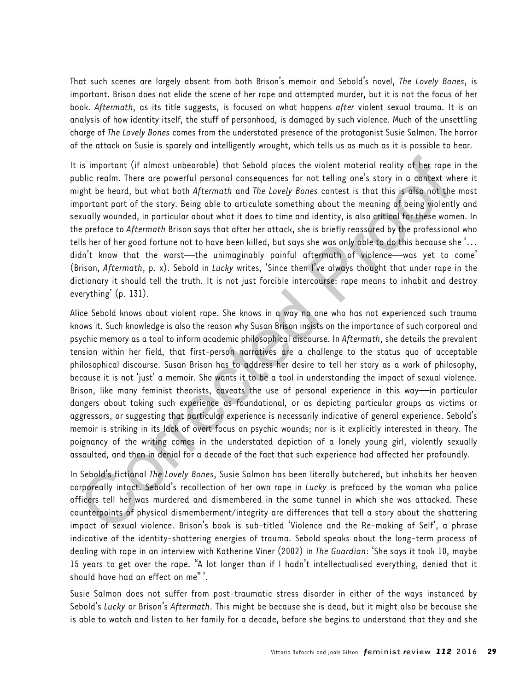That such scenes are largely absent from both Brison's memoir and Sebold's novel, The Lovely Bones, is important. Brison does not elide the scene of her rape and attempted murder, but it is not the focus of her book. Aftermath, as its title suggests, is focused on what happens after violent sexual trauma. It is an analysis of how identity itself, the stuff of personhood, is damaged by such violence. Much of the unsettling charge of The Lovely Bones comes from the understated presence of the protagonist Susie Salmon. The horror of the attack on Susie is sparely and intelligently wrought, which tells us as much as it is possible to hear.

It is important (if almost unbearable) that Sebold places the violent material reality of her rape in the public realm. There are powerful personal consequences for not telling one's story in a context where it might be heard, but what both Aftermath and The Lovely Bones contest is that this is also not the most important part of the story. Being able to articulate something about the meaning of being violently and sexually wounded, in particular about what it does to time and identity, is also critical for these women. In the preface to Aftermath Brison says that after her attack, she is briefly reassured by the professional who tells her of her good fortune not to have been killed, but says she was only able to do this because she '… didn't know that the worst—the unimaginably painful aftermath of violence—was yet to come' (Brison, Aftermath, p. x). Sebold in Lucky writes, 'Since then I've always thought that under rape in the dictionary it should tell the truth. It is not just forcible intercourse: rape means to inhabit and destroy everything' (p. 131).

Alice Sebold knows about violent rape. She knows in a way no one who has not experienced such trauma knows it. Such knowledge is also the reason why Susan Brison insists on the importance of such corporeal and psychic memory as a tool to inform academic philosophical discourse. In Aftermath, she details the prevalent tension within her field, that first-person narratives are a challenge to the status quo of acceptable philosophical discourse. Susan Brison has to address her desire to tell her story as a work of philosophy, because it is not 'just' a memoir. She wants it to be a tool in understanding the impact of sexual violence. Brison, like many feminist theorists, caveats the use of personal experience in this way—in particular dangers about taking such experience as foundational, or as depicting particular groups as victims or aggressors, or suggesting that particular experience is necessarily indicative of general experience. Sebold's memoir is striking in its lack of overt focus on psychic wounds; nor is it explicitly interested in theory. The poignancy of the writing comes in the understated depiction of a lonely young girl, violently sexually assaulted, and then in denial for a decade of the fact that such experience had affected her profoundly. is important (if almost unbearable) that Sebold places the violent material reality of her rape is<br>ubilize realin. There are powerful personal consequences for not telling and is story in a context while<br>tight be heard, bu

In Sebold's fictional The Lovely Bones, Susie Salmon has been literally butchered, but inhabits her heaven corporeally intact. Sebold's recollection of her own rape in Lucky is prefaced by the woman who police officers tell her was murdered and dismembered in the same tunnel in which she was attacked. These counterpoints of physical dismemberment/integrity are differences that tell a story about the shattering impact of sexual violence. Brison's book is sub-titled 'Violence and the Re-making of Self', a phrase indicative of the identity-shattering energies of trauma. Sebold speaks about the long-term process of dealing with rape in an interview with Katherine [Viner \(2002\)](#page-13-0) in The Guardian: 'She says it took 10, maybe 15 years to get over the rape. "A lot longer than if I hadn't intellectualised everything, denied that it should have had an effect on me" '.

Susie Salmon does not suffer from post-traumatic stress disorder in either of the ways instanced by Sebold's Lucky or Brison's Aftermath. This might be because she is dead, but it might also be because she is able to watch and listen to her family for a decade, before she begins to understand that they and she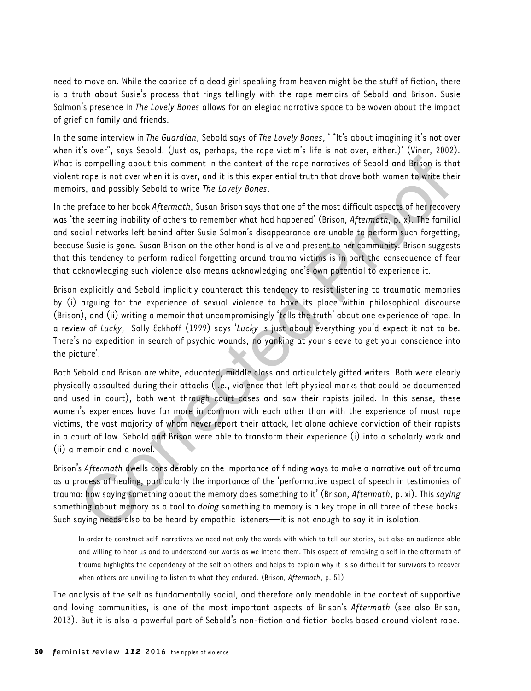need to move on. While the caprice of a dead girl speaking from heaven might be the stuff of fiction, there is a truth about Susie's process that rings tellingly with the rape memoirs of Sebold and Brison. Susie Salmon's presence in The Lovely Bones allows for an elegiac narrative space to be woven about the impact of grief on family and friends.

In the same interview in The Guardian, Sebold says of The Lovely Bones, ' "It's about imagining it's not over when it's over", says Sebold. (Just as, perhaps, the rape victim's life is not over, either.)' [\(Viner, 2002](#page-13-0)). What is compelling about this comment in the context of the rape narratives of Sebold and Brison is that violent rape is not over when it is over, and it is this experiential truth that drove both women to write their memoirs, and possibly Sebold to write The Lovely Bones.

In the preface to her book Aftermath, Susan Brison says that one of the most difficult aspects of her recovery was 'the seeming inability of others to remember what had happened' (Brison, Aftermath, p. x). The familial and social networks left behind after Susie Salmon's disappearance are unable to perform such forgetting, because Susie is gone. Susan Brison on the other hand is alive and present to her community. Brison suggests that this tendency to perform radical forgetting around trauma victims is in part the consequence of fear that acknowledging such violence also means acknowledging one's own potential to experience it.

Brison explicitly and Sebold implicitly counteract this tendency to resist listening to traumatic memories by (i) arguing for the experience of sexual violence to have its place within philosophical discourse (Brison), and (ii) writing a memoir that uncompromisingly 'tells the truth' about one experience of rape. In a review of Lucky, Sally Eckhoff (1999) says 'Lucky is just about everything you'd expect it not to be. There's no expedition in search of psychic wounds, no yanking at your sleeve to get your conscience into the picture'.

Both Sebold and Brison are white, educated, middle class and articulately gifted writers. Both were clearly physically assaulted during their attacks (i.e., violence that left physical marks that could be documented and used in court), both went through court cases and saw their rapists jailed. In this sense, these women's experiences have far more in common with each other than with the experience of most rape victims, the vast majority of whom never report their attack, let alone achieve conviction of their rapists in a court of law. Sebold and Brison were able to transform their experience (i) into a scholarly work and (ii) a memoir and a novel. s compelling about this comment in the context of the rape narratives of Sebold and Brison is the rape is compelling about this comment in the context of the rape narratives of Sebold and Brison is the rape is not over whe

Brison's Aftermath dwells considerably on the importance of finding ways to make a narrative out of trauma as a process of healing, particularly the importance of the 'performative aspect of speech in testimonies of trauma: how saying something about the memory does something to it' (Brison, Aftermath, p. xi). This saying something about memory as a tool to *doing* something to memory is a key trope in all three of these books. Such saying needs also to be heard by empathic listeners—it is not enough to say it in isolation.

In order to construct self-narratives we need not only the words with which to tell our stories, but also an audience able and willing to hear us and to understand our words as we intend them. This aspect of remaking a self in the aftermath of trauma highlights the dependency of the self on others and helps to explain why it is so difficult for survivors to recover when others are unwilling to listen to what they endured. (Brison, Aftermath, p. 51)

The analysis of the self as fundamentally social, and therefore only mendable in the context of supportive and loving communities, is one of the most important aspects of Brison's Aftermath (see also [Brison,](#page-12-0) [2013\)](#page-12-0). But it is also a powerful part of Sebold's non-fiction and fiction books based around violent rape.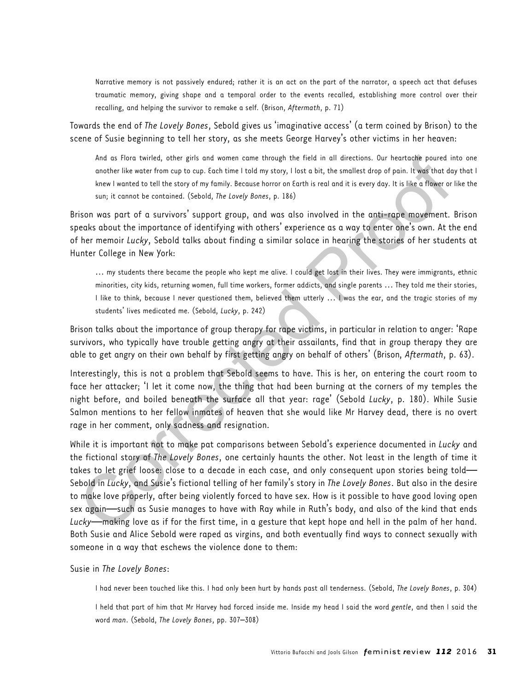Narrative memory is not passively endured; rather it is an act on the part of the narrator, a speech act that defuses traumatic memory, giving shape and a temporal order to the events recalled, establishing more control over their recalling, and helping the survivor to remake a self. (Brison, Aftermath, p. 71)

Towards the end of The Lovely Bones, Sebold gives us 'imaginative access' (a term coined by Brison) to the scene of Susie beginning to tell her story, as she meets George Harvey's other victims in her heaven:

And as Flora twirled, other girls and women came through the field in all directions. Our heartache poured into one another like water from cup to cup. Each time I told my story, I lost a bit, the smallest drop of pain. It was that day that I knew I wanted to tell the story of my family. Because horror on Earth is real and it is every day. It is like a flower or like the sun; it cannot be contained. (Sebold, The Lovely Bones, p. 186)

Brison was part of a survivors' support group, and was also involved in the anti-rape movement. Brison speaks about the importance of identifying with others' experience as a way to enter one's own. At the end of her memoir Lucky, Sebold talks about finding a similar solace in hearing the stories of her students at Hunter College in New York:

… my students there became the people who kept me alive. I could get lost in their lives. They were immigrants, ethnic minorities, city kids, returning women, full time workers, former addicts, and single parents … They told me their stories, I like to think, because I never questioned them, believed them utterly … I was the ear, and the tragic stories of my students' lives medicated me. (Sebold, Lucky, p. 242)

Brison talks about the importance of group therapy for rape victims, in particular in relation to anger: 'Rape survivors, who typically have trouble getting angry at their assailants, find that in group therapy they are able to get angry on their own behalf by first getting angry on behalf of others' (Brison, Aftermath, p. 63).

Interestingly, this is not a problem that Sebold seems to have. This is her, on entering the court room to face her attacker; 'I let it come now, the thing that had been burning at the corners of my temples the night before, and boiled beneath the surface all that year: rage' (Sebold Lucky, p. 180). While Susie Salmon mentions to her fellow inmates of heaven that she would like Mr Harvey dead, there is no overt rage in her comment, only sadness and resignation.

While it is important not to make pat comparisons between Sebold's experience documented in Lucky and the fictional story of The Lovely Bones, one certainly haunts the other. Not least in the length of time it takes to let grief loose: close to a decade in each case, and only consequent upon stories being told— Sebold in Lucky, and Susie's fictional telling of her family's story in The Lovely Bones. But also in the desire to make love properly, after being violently forced to have sex. How is it possible to have good loving open sex again—such as Susie manages to have with Ray while in Ruth's body, and also of the kind that ends Lucky—making love as if for the first time, in a gesture that kept hope and hell in the palm of her hand. Both Susie and Alice Sebold were raped as virgins, and both eventually find ways to connect sexually with someone in a way that eschews the violence done to them: Mad as Flora twitted, other girls and women came through the field in all directions. Our hearted in pointed in<br>non-trivity entert from to to to the field model my toty. Ilest all, the smooth points have the detect from t

#### Susie in The Lovely Bones:

I had never been touched like this. I had only been hurt by hands past all tenderness. (Sebold, The Lovely Bones, p. 304)

I held that part of him that Mr Harvey had forced inside me. Inside my head I said the word gentle, and then I said the word man. (Sebold, The Lovely Bones, pp. 307–308)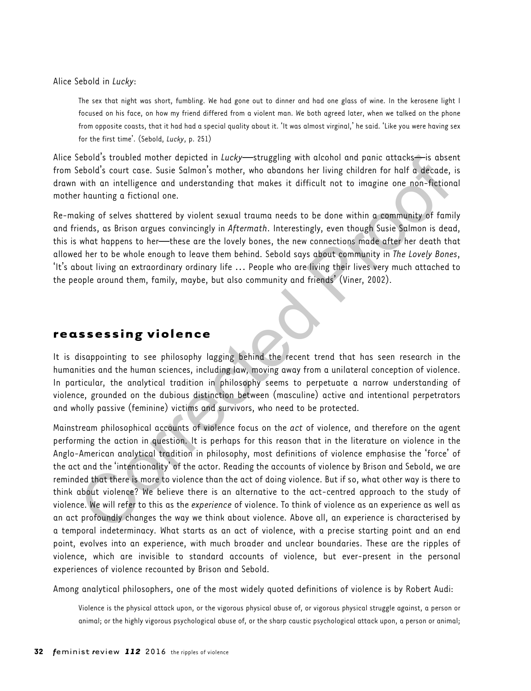Alice Sebold in Lucky:

The sex that night was short, fumbling. We had gone out to dinner and had one glass of wine. In the kerosene light I focused on his face, on how my friend differed from a violent man. We both agreed later, when we talked on the phone from opposite coasts, that it had had a special quality about it. 'It was almost virginal,' he said. 'Like you were having sex for the first time'. (Sebold, Lucky, p. 251)

Alice Sebold's troubled mother depicted in *Lucky*—struggling with alcohol and panic attacks—is absent from Sebold's court case. Susie Salmon's mother, who abandons her living children for half a decade, is drawn with an intelligence and understanding that makes it difficult not to imagine one non-fictional mother haunting a fictional one.

Re-making of selves shattered by violent sexual trauma needs to be done within a community of family and friends, as Brison argues convincingly in Aftermath. Interestingly, even though Susie Salmon is dead, this is what happens to her—these are the lovely bones, the new connections made after her death that allowed her to be whole enough to leave them behind. Sebold says about community in The Lovely Bones, 'It's about living an extraordinary ordinary life … People who are living their lives very much attached to the people around them, family, maybe, but also community and friends' (Viner, 2002).

#### reassessing violence

It is disappointing to see philosophy lagging behind the recent trend that has seen research in the humanities and the human sciences, including law, moving away from a unilateral conception of violence. In particular, the analytical tradition in philosophy seems to perpetuate a narrow understanding of violence, grounded on the dubious distinction between (masculine) active and intentional perpetrators and wholly passive (feminine) victims and survivors, who need to be protected.

Mainstream philosophical accounts of violence focus on the act of violence, and therefore on the agent performing the action in question. It is perhaps for this reason that in the literature on violence in the Anglo-American analytical tradition in philosophy, most definitions of violence emphasise the 'force' of the act and the 'intentionality' of the actor. Reading the accounts of violence by Brison and Sebold, we are reminded that there is more to violence than the act of doing violence. But if so, what other way is there to think about violence? We believe there is an alternative to the act-centred approach to the study of violence. We will refer to this as the experience of violence. To think of violence as an experience as well as an act profoundly changes the way we think about violence. Above all, an experience is characterised by a temporal indeterminacy. What starts as an act of violence, with a precise starting point and an end point, evolves into an experience, with much broader and unclear boundaries. These are the ripples of violence, which are invisible to standard accounts of violence, but ever-present in the personal experiences of violence recounted by Brison and Sebold. ishold's cotubled mother depicted in *lacky*—struggling with alcobil and pains at chargest in the sine of depicted in the sine of the determinion and pains at the sine of the sine of the sine of the sine of the sine of the

Among analytical philosophers, one of the most widely quoted definitions of violence is by Robert Audi:

Violence is the physical attack upon, or the vigorous physical abuse of, or vigorous physical struggle against, a person or animal; or the highly vigorous psychological abuse of, or the sharp caustic psychological attack upon, a person or animal;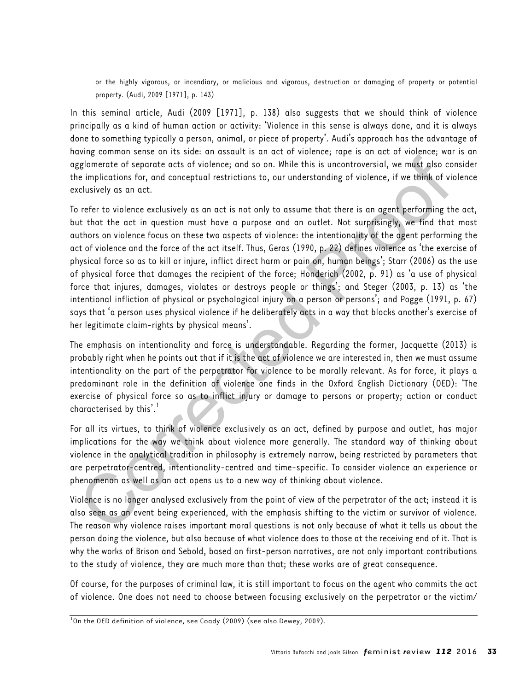or the highly vigorous, or incendiary, or malicious and vigorous, destruction or damaging of property or potential property. [\(Audi, 2009](#page-12-0) [1971], p. 143)

In this seminal article, [Audi \(2009](#page-12-0) [1971], p. 138) also suggests that we should think of violence principally as a kind of human action or activity: 'Violence in this sense is always done, and it is always done to something typically a person, animal, or piece of property'. Audi's approach has the advantage of having common sense on its side: an assault is an act of violence; rape is an act of violence; war is an agglomerate of separate acts of violence; and so on. While this is uncontroversial, we must also consider the implications for, and conceptual restrictions to, our understanding of violence, if we think of violence exclusively as an act.

To refer to violence exclusively as an act is not only to assume that there is an agent performing the act, but that the act in question must have a purpose and an outlet. Not surprisingly, we find that most authors on violence focus on these two aspects of violence: the intentionality of the agent performing the act of violence and the force of the act itself. Thus, Geras (1990, p. 22) defines violence as 'the exercise of physical force so as to kill or injure, inflict direct harm or pain on, human beings'; Starr (2006) as the use of physical force that damages the recipient of the force; Honderich (2002, p. 91) as 'a use of physical force that injures, damages, violates or destroys people or things'; and Steger (2003, p. 13) as 'the intentional infliction of physical or psychological injury on a person or persons'; and Pogge (1991, p. 67) says that 'a person uses physical violence if he deliberately acts in a way that blocks another's exercise of her legitimate claim-rights by physical means'. Englimentati[o](#page-13-0)n control and the stream of the stream of the proposition of the proposition of the proposition of the interpreted proposition of the profile this is uncontonerably as an act: "<br>Interferome of separate acts of

The emphasis on intentionality and force is understandable. Regarding the former, [Jacquette \(2013\)](#page-12-0) is probably right when he points out that if it is the act of violence we are interested in, then we must assume intentionality on the part of the perpetrator for violence to be morally relevant. As for force, it plays a predominant role in the definition of violence one finds in the Oxford English Dictionary (OED): 'The exercise of physical force so as to inflict injury or damage to persons or property; action or conduct characterised by this'. 1

For all its virtues, to think of violence exclusively as an act, defined by purpose and outlet, has major implications for the way we think about violence more generally. The standard way of thinking about violence in the analytical tradition in philosophy is extremely narrow, being restricted by parameters that are perpetrator-centred, intentionality-centred and time-specific. To consider violence an experience or phenomenon as well as an act opens us to a new way of thinking about violence.

Violence is no longer analysed exclusively from the point of view of the perpetrator of the act; instead it is also seen as an event being experienced, with the emphasis shifting to the victim or survivor of violence. The reason why violence raises important moral questions is not only because of what it tells us about the person doing the violence, but also because of what violence does to those at the receiving end of it. That is why the works of Brison and Sebold, based on first-person narratives, are not only important contributions to the study of violence, they are much more than that; these works are of great consequence.

Of course, for the purposes of criminal law, it is still important to focus on the agent who commits the act of violence. One does not need to choose between focusing exclusively on the perpetrator or the victim/

 $^{1}$ On the OED definition of violence, see [Coady \(2009\)](#page-12-0) (see also [Dewey, 2009](#page-12-0)).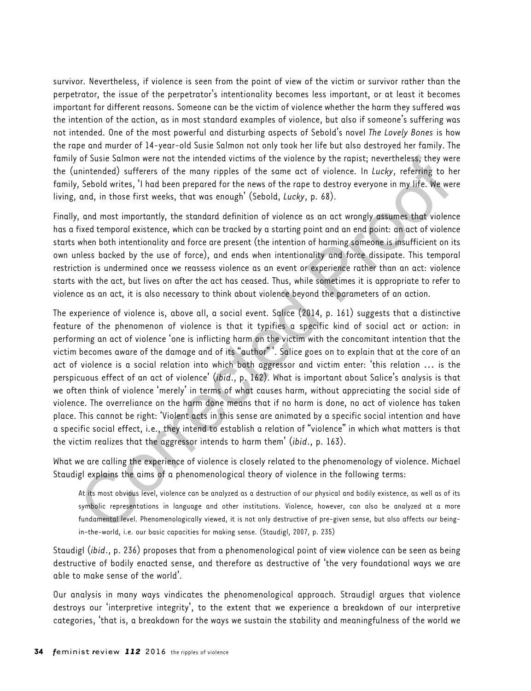survivor. Nevertheless, if violence is seen from the point of view of the victim or survivor rather than the perpetrator, the issue of the perpetrator's intentionality becomes less important, or at least it becomes important for different reasons. Someone can be the victim of violence whether the harm they suffered was the intention of the action, as in most standard examples of violence, but also if someone's suffering was not intended. One of the most powerful and disturbing aspects of Sebold's novel The Lovely Bones is how the rape and murder of 14-year-old Susie Salmon not only took her life but also destroyed her family. The family of Susie Salmon were not the intended victims of the violence by the rapist; nevertheless, they were the (unintended) sufferers of the many ripples of the same act of violence. In Lucky, referring to her family, Sebold writes, 'I had been prepared for the news of the rape to destroy everyone in my life. We were living, and, in those first weeks, that was enough' (Sebold, Lucky, p. 68).

Finally, and most importantly, the standard definition of violence as an act wrongly assumes that violence has a fixed temporal existence, which can be tracked by a starting point and an end point: an act of violence starts when both intentionality and force are present (the intention of harming someone is insufficient on its own unless backed by the use of force), and ends when intentionality and force dissipate. This temporal restriction is undermined once we reassess violence as an event or experience rather than an act: violence starts with the act, but lives on after the act has ceased. Thus, while sometimes it is appropriate to refer to violence as an act, it is also necessary to think about violence beyond the parameters of an action.

The experience of violence is, above all, a social event. Salice (2014, p. 161) suggests that a distinctive feature of the phenomenon of violence is that it typifies a specific kind of social act or action: in performing an act of violence 'one is inflicting harm on the victim with the concomitant intention that the victim becomes aware of the damage and of its "author"". Salice goes on to explain that at the core of an act of violence is a social relation into which both aggressor and victim enter: 'this relation … is the perspicuous effect of an act of violence' (ibid., p. 162). What is important about Salice's analysis is that we often think of violence 'merely' in terms of what causes harm, without appreciating the social side of violence. The overreliance on the harm done means that if no harm is done, no act of violence has taken place. This cannot be right: 'Violent acts in this sense are animated by a specific social intention and have a specific social effect, i.e., they intend to establish a relation of "violence" in which what matters is that the victim realizes that the aggressor intends to harm them' (ibid., p. 163). of Susie Salmon were not the inter[d](#page-13-0)ed victims of the violence by the rapist; nevertheless, they were<br>initedned) sufferess of the many ripples of the same act of violence. In Lucky, rectring to the<br>simulatednel sufferes a

What we are calling the experience of violence is closely related to the phenomenology of violence. Michael Staudigl explains the aims of a phenomenological theory of violence in the following terms:

At its most obvious level, violence can be analyzed as a destruction of our physical and bodily existence, as well as of its symbolic representations in language and other institutions. Violence, however, can also be analyzed at a more fundamental level. Phenomenologically viewed, it is not only destructive of pre-given sense, but also affects our beingin-the-world, i.e. our basic capacities for making sense. [\(Staudigl, 2007,](#page-13-0) p. 235)

Staudigl (ibid., p. 236) proposes that from a phenomenological point of view violence can be seen as being destructive of bodily enacted sense, and therefore as destructive of 'the very foundational ways we are able to make sense of the world'.

Our analysis in many ways vindicates the phenomenological approach. Straudigl argues that violence destroys our 'interpretive integrity', to the extent that we experience a breakdown of our interpretive categories, 'that is, a breakdown for the ways we sustain the stability and meaningfulness of the world we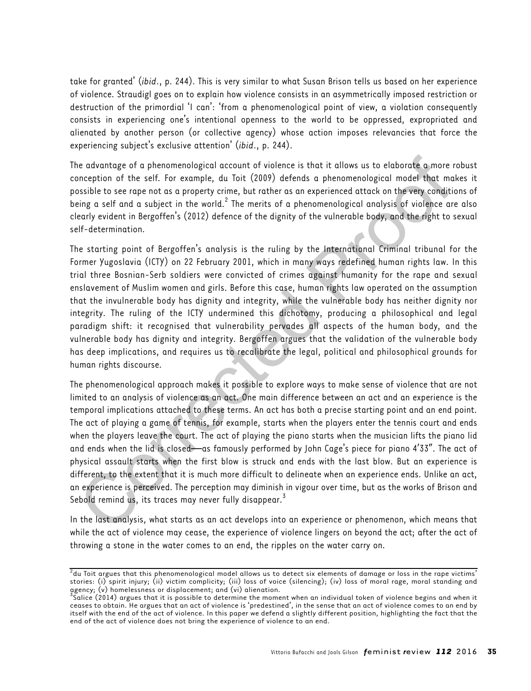take for granted' (ibid., p. 244). This is very similar to what Susan Brison tells us based on her experience of violence. Straudigl goes on to explain how violence consists in an asymmetrically imposed restriction or destruction of the primordial 'I can': 'from a phenomenological point of view, a violation consequently consists in experiencing one's intentional openness to the world to be oppressed, expropriated and alienated by another person (or collective agency) whose action imposes relevancies that force the experiencing subject's exclusive attention' (ibid., p. 244).

The advantage of a phenomenological account of violence is that it allows us to elaborate a more robust conception of the self. For example, du Toit (2009) defends a phenomenological model that makes it possible to see rape not as a property crime, but rather as an experienced attack on the very conditions of being a self and a subject in the world.<sup>2</sup> The merits of a phenomenological analysis of violence are also clearly evident in Bergoffen's (2012) defence of the dignity of the vulnerable body, and the right to sexual self-determination.

The starting point of Bergoffen's analysis is the ruling by the International Criminal tribunal for the Former Yugoslavia (ICTY) on 22 February 2001, which in many ways redefined human rights law. In this trial three Bosnian-Serb soldiers were convicted of crimes against humanity for the rape and sexual enslavement of Muslim women and girls. Before this case, human rights law operated on the assumption that the invulnerable body has dignity and integrity, while the vulnerable body has neither dignity nor integrity. The ruling of the ICTY undermined this dichotomy, producing a philosophical and legal paradigm shift: it recognised that vulnerability pervades all aspects of the human body, and the vulnerable body has dignity and integrity. Bergoffen argues that the validation of the vulnerable body has deep implications, and requires us to recalibrate the legal, political and philosophical grounds for human rights discourse.

The phenomenological approach makes it possible to explore ways to make sense of violence that are not limited to an analysis of violence as an act. One main difference between an act and an experience is the temporal implications attached to these terms. An act has both a precise starting point and an end point. The act of playing a game of tennis, for example, starts when the players enter the tennis court and ends when the players leave the court. The act of playing the piano starts when the musician lifts the piano lid and ends when the lid is closed—as famously performed by John Cage's piece for piano 4′33″. The act of physical assault starts when the first blow is struck and ends with the last blow. But an experience is different, to the extent that it is much more difficult to delineate when an experience ends. Unlike an act, an experience is perceived. The perception may diminish in vigour over time, but as the works of Brison and Sebold remind us, its traces may never fully disappear. $3$ e advantage of a phenomenological account of violence is that it allows us to elaborate a more proception of the self. For example, du Toit (2009) defends a phenomenological model that more prosessible to see repe not as a

In the last analysis, what starts as an act develops into an experience or phenomenon, which means that while the act of violence may cease, the experience of violence lingers on beyond the act; after the act of throwing a stone in the water comes to an end, the ripples on the water carry on.

 $^2$ du Toit argues that this phenomenological model allows us to detect six elements of damage or loss in the rape victims $^2$ stories: (i) spirit injury; (ii) victim complicity; (iii) loss of voice (silencing); (iv) loss of moral rage, moral standing and

agency; (v) homelessness or displacement; and (vi) alienation.<br><sup>3</sup>[Salice \(2014\)](#page-13-0) argues that it is possible to determine the moment when an individual token of violence begins and when it ceases to obtain. He argues that an act of violence is 'predestined', in the sense that an act of violence comes to an end by itself with the end of the act of violence. In this paper we defend a slightly different position, highlighting the fact that the end of the act of violence does not bring the experience of violence to an end.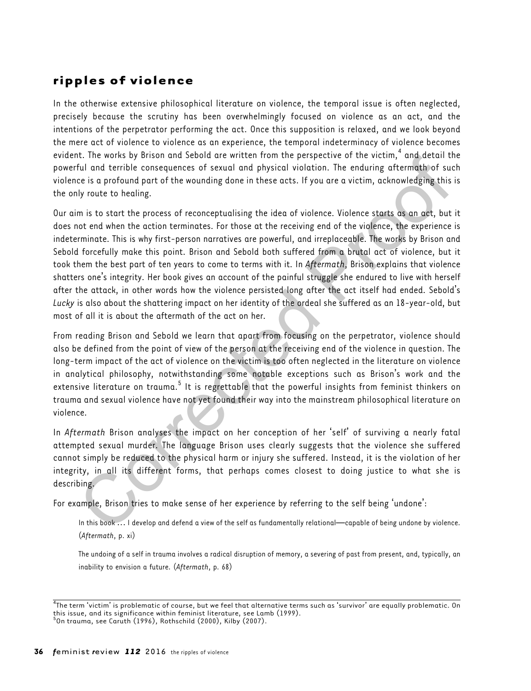# ripples of violence

In the otherwise extensive philosophical literature on violence, the temporal issue is often neglected, precisely because the scrutiny has been overwhelmingly focused on violence as an act, and the intentions of the perpetrator performing the act. Once this supposition is relaxed, and we look beyond the mere act of violence to violence as an experience, the temporal indeterminacy of violence becomes evident. The works by Brison and Sebold are written from the perspective of the victim,<sup>4</sup> and detail the powerful and terrible consequences of sexual and physical violation. The enduring aftermath of such violence is a profound part of the wounding done in these acts. If you are a victim, acknowledging this is the only route to healing.

Our aim is to start the process of reconceptualising the idea of violence. Violence starts as an act, but it does not end when the action terminates. For those at the receiving end of the violence, the experience is indeterminate. This is why first-person narratives are powerful, and irreplaceable. The works by Brison and Sebold forcefully make this point. Brison and Sebold both suffered from a brutal act of violence, but it took them the best part of ten years to come to terms with it. In Aftermath, Brison explains that violence shatters one's integrity. Her book gives an account of the painful struggle she endured to live with herself after the attack, in other words how the violence persisted long after the act itself had ended. Sebold's Lucky is also about the shattering impact on her identity of the ordeal she suffered as an 18-year-old, but most of all it is about the aftermath of the act on her. t. In events by prison and seboul are written from the perspecture of the victim, and actual this book... I develop and definite the consistents of the sumplementation of the statistic of the statistic of the wounding done

From reading Brison and Sebold we learn that apart from focusing on the perpetrator, violence should also be defined from the point of view of the person at the receiving end of the violence in question. The long-term impact of the act of violence on the victim is too often neglected in the literature on violence in analytical philosophy, notwithstanding some notable exceptions such as Brison's work and the extensive literature on trauma.<sup>5</sup> It is regrettable that the powerful insights from feminist thinkers on trauma and sexual violence have not yet found their way into the mainstream philosophical literature on violence.

In Aftermath Brison analyses the impact on her conception of her 'self' of surviving a nearly fatal attempted sexual murder. The language Brison uses clearly suggests that the violence she suffered cannot simply be reduced to the physical harm or injury she suffered. Instead, it is the violation of her integrity, in all its different forms, that perhaps comes closest to doing justice to what she is describing.

For example, Brison tries to make sense of her experience by referring to the self being 'undone':

In this book … I develop and defend a view of the self as fundamentally relational—capable of being undone by violence. (Aftermath, p. xi)

The undoing of a self in trauma involves a radical disruption of memory, a severing of past from present, and, typically, an inability to envision a future. (Aftermath, p. 68)

<sup>&</sup>lt;sup>4</sup>The term 'victim' is problematic of course, but we feel that alternative terms such as 'survivor' are equally problematic. On this issue, and its significance within feminist literature, see [Lamb \(1999\).](#page-12-0)<br><sup>5</sup>On trauma, see [Caruth \(1996\),](#page-12-0) [Rothschild \(2000\),](#page-13-0) [Kilby \(2007\)](#page-12-0).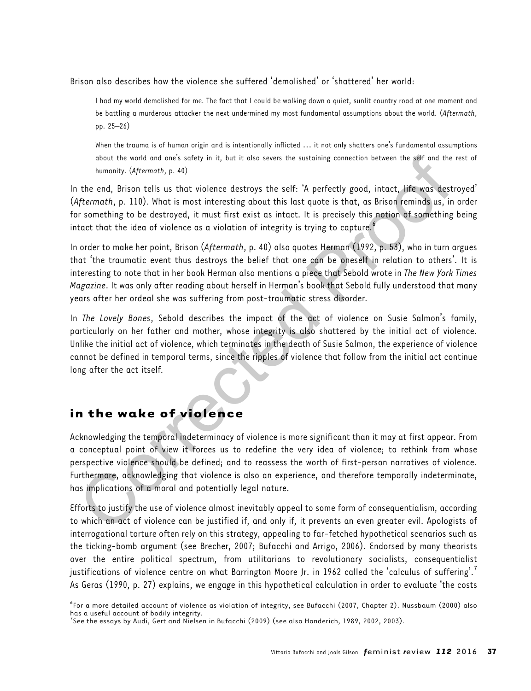Brison also describes how the violence she suffered 'demolished' or 'shattered' her world:

I had my world demolished for me. The fact that I could be walking down a quiet, sunlit country road at one moment and be battling a murderous attacker the next undermined my most fundamental assumptions about the world. (Aftermath, pp. 25–26)

When the trauma is of human origin and is intentionally inflicted ... it not only shatters one's fundamental assumptions about the world and one's safety in it, but it also severs the sustaining connection between the self and the rest of humanity. (Aftermath, p. 40)

In the end, Brison tells us that violence destroys the self: 'A perfectly good, intact, life was destroyed' (Aftermath, p. 110). What is most interesting about this last quote is that, as Brison reminds us, in order for something to be destroyed, it must first exist as intact. It is precisely this notion of something being intact that the idea of violence as a violation of integrity is trying to capture.<sup>6</sup>

In order to make her point, Brison (Aftermath, p. 40) also quotes Herman (1992, p. 53), who in turn argues that 'the traumatic event thus destroys the belief that one can be oneself in relation to others'. It is interesting to note that in her book Herman also mentions a piece that Sebold wrote in The New York Times Magazine. It was only after reading about herself in Herman's book that Sebold fully understood that many years after her ordeal she was suffering from post-traumatic stress disorder.

In The Lovely Bones, Sebold describes the impact of the act of violence on Susie Salmon's family, particularly on her father and mother, whose integrity is also shattered by the initial act of violence. Unlike the initial act of violence, which terminates in the death of Susie Salmon, the experience of violence cannot be defined in temporal terms, since the ripples of violence that follow from the initial act continue long after the act itself.

# in the wake of violence

Acknowledging the temporal indeterminacy of violence is more significant than it may at first appear. From a conceptual point of view it forces us to redefine the very idea of violence; to rethink from whose perspective violence should be defined; and to reassess the worth of first-person narratives of violence. Furthermore, acknowledging that violence is also an experience, and therefore temporally indeterminate, has implications of a moral and potentially legal nature. showt the world and one's actrix in it, but it due severs the suttaining connection between the self ond the<br>
the mend, Bricanth, p. 40)<br>
the mend, Bricanth, p. 100). What is most interesting about this last quote is that,

Efforts to justify the use of violence almost inevitably appeal to some form of consequentialism, according to which an act of violence can be justified if, and only if, it prevents an even greater evil. Apologists of interrogational torture often rely on this strategy, appealing to far-fetched hypothetical scenarios such as the ticking-bomb argument (see [Brecher, 2007; Bufacchi and Arrigo, 2006\)](#page-12-0). Endorsed by many theorists over the entire political spectrum, from utilitarians to revolutionary socialists, consequentialist justifications of violence centre on what Barrington Moore Jr. in 1962 called the 'calculus of suffering'.  $^7$ As [Geras \(1990,](#page-12-0) p. 27) explains, we engage in this hypothetical calculation in order to evaluate 'the costs

<sup>&</sup>lt;sup>6</sup>For a more detailed account of violence as violation of integrity, see [Bufacchi \(2007](#page-12-0), Chapter 2). [Nussbaum \(2000\)](#page-13-0) also has a useful account of bodily integrity. 7 See the essays by Audi, Gert and Nielsen in [Bufacchi \(2009\)](#page-12-0) (see also [Honderich, 1989, 2002, 2003\)](#page-12-0).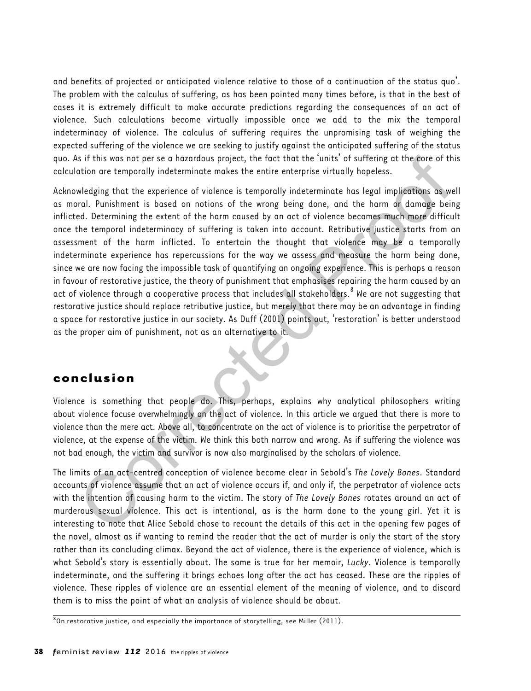and benefits of projected or anticipated violence relative to those of a continuation of the status quo'. The problem with the calculus of suffering, as has been pointed many times before, is that in the best of cases it is extremely difficult to make accurate predictions regarding the consequences of an act of violence. Such calculations become virtually impossible once we add to the mix the temporal indeterminacy of violence. The calculus of suffering requires the unpromising task of weighing the expected suffering of the violence we are seeking to justify against the anticipated suffering of the status quo. As if this was not per se a hazardous project, the fact that the 'units' of suffering at the core of this calculation are temporally indeterminate makes the entire enterprise virtually hopeless.

Acknowledging that the experience of violence is temporally indeterminate has legal implications as well as moral. Punishment is based on notions of the wrong being done, and the harm or damage being inflicted. Determining the extent of the harm caused by an act of violence becomes much more difficult once the temporal indeterminacy of suffering is taken into account. Retributive justice starts from an assessment of the harm inflicted. To entertain the thought that violence may be a temporally indeterminate experience has repercussions for the way we assess and measure the harm being done, since we are now facing the impossible task of quantifying an ongoing experience. This is perhaps a reason in favour of restorative justice, the theory of punishment that emphasises repairing the harm caused by an act of violence through a cooperative process that includes all stakeholders.<sup>8</sup> We are not suggesting that restorative justice should replace retributive justice, but merely that there may be an advantage in finding a space for restorative justice in our society. As Duff (2001) points out, 'restoration' is better understood as the proper aim of punishment, not as an alternative to it. is if this was not per se a hazardous project, the fact that the 'units' of suffering at the core of this indiction are temporally indeterminate makes the entire enterprise virtually hopeless.<br>
Unidample in the superince o

### conclusion

Violence is something that people do. This, perhaps, explains why analytical philosophers writing about violence focuse overwhelmingly on the act of violence. In this article we argued that there is more to violence than the mere act. Above all, to concentrate on the act of violence is to prioritise the perpetrator of violence, at the expense of the victim. We think this both narrow and wrong. As if suffering the violence was not bad enough, the victim and survivor is now also marginalised by the scholars of violence.

The limits of an act-centred conception of violence become clear in Sebold's The Lovely Bones. Standard accounts of violence assume that an act of violence occurs if, and only if, the perpetrator of violence acts with the intention of causing harm to the victim. The story of The Lovely Bones rotates around an act of murderous sexual violence. This act is intentional, as is the harm done to the young girl. Yet it is interesting to note that Alice Sebold chose to recount the details of this act in the opening few pages of the novel, almost as if wanting to remind the reader that the act of murder is only the start of the story rather than its concluding climax. Beyond the act of violence, there is the experience of violence, which is what Sebold's story is essentially about. The same is true for her memoir, Lucky. Violence is temporally indeterminate, and the suffering it brings echoes long after the act has ceased. These are the ripples of violence. These ripples of violence are an essential element of the meaning of violence, and to discard them is to miss the point of what an analysis of violence should be about.

 $^{\rm 8}$ On restorative justice, and especially the importance of storytelling, see [Miller \(2011\)](#page-12-0).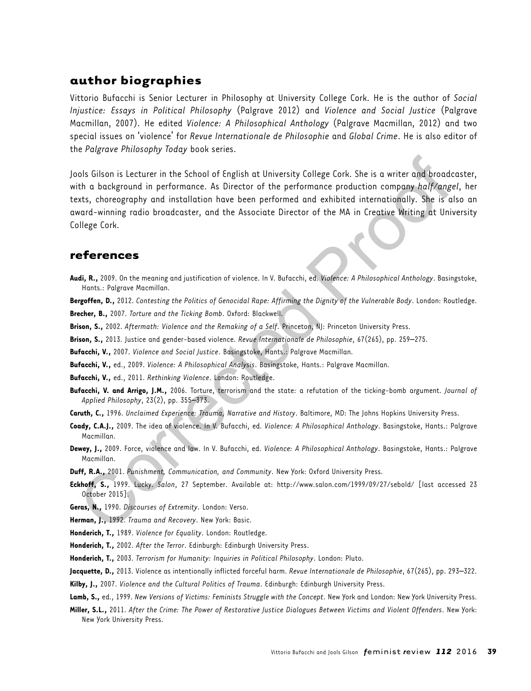#### <span id="page-12-0"></span>author biographies

Vittorio Bufacchi is Senior Lecturer in Philosophy at University College Cork. He is the author of Social Injustice: Essays in Political Philosophy (Palgrave 2012) and Violence and Social Justice (Palgrave Macmillan, 2007). He edited Violence: A Philosophical Anthology (Palgrave Macmillan, 2012) and two special issues on 'violence' for Revue Internationale de Philosophie and Global Crime. He is also editor of the Palgrave Philosophy Today book series.

Jools Gilson is Lecturer in the School of English at University College Cork. She is a writer and broadcaster, with a background in performance. As Director of the performance production company half/angel, her texts, choreography and installation have been performed and exhibited internationally. She is also an award-winning radio broadcaster, and the Associate Director of the MA in Creative Writing at University College Cork. ols Gilson is Lecturer in the School of English at University College Cork. She is a writer and broadcorrel the background in performance. As Director of the performance production company half/zange<br>
Att, choreography and

#### references

- Audi, R., 2009. On the meaning and justification of violence. In V. Bufacchi, ed. Violence: A Philosophical Anthology. Basingstoke, Hants.: Palgrave Macmillan.
- Bergoffen, D., 2012. Contesting the Politics of Genocidal Rape: Affirming the Dignity of the Vulnerable Body. London: Routledge. Brecher, B., 2007. Torture and the Ticking Bomb. Oxford: Blackwell.
- Brison, S., 2002. Aftermath: Violence and the Remaking of a Self. Princeton, NJ: Princeton University Press.
- Brison, S., 2013. Justice and gender-based violence. Revue Internationale de Philosophie, 67(265), pp. 259–275.
- Bufacchi, V., 2007. Violence and Social Justice. Basingstoke, Hants.: Palgrave Macmillan.
- Bufacchi, V., ed., 2009. Violence: A Philosophical Analysis. Basingstoke, Hants.: Palgrave Macmillan.
- Bufacchi, V., ed., 2011. Rethinking Violence. London: Routledge.
- Bufacchi, V. and Arrigo, J.M., 2006. Torture, terrorism and the state: a refutation of the ticking-bomb argument. Journal of Applied Philosophy, 23(2), pp. 355–373.
- Caruth, C., 1996. Unclaimed Experience: Trauma, Narrative and History. Baltimore, MD: The Johns Hopkins University Press.
- Coady, C.A.J., 2009. The idea of violence. In V. Bufacchi, ed. Violence: A Philosophical Anthology. Basingstoke, Hants.: Palgrave Macmillan.
- Dewey, J., 2009. Force, violence and law. In V. Bufacchi, ed. Violence: A Philosophical Anthology. Basingstoke, Hants.: Palgrave Macmillan.
- Duff, R.A., 2001. Punishment, Communication, and Community. New York: Oxford University Press.
- Eckhoff, S., 1999. Lucky. Salon, 27 September. Available at: http://www.salon.com/1999/09/27/sebold/ [last accessed 23 October 2015].
- Geras, N., 1990. Discourses of Extremity. London: Verso.
- Herman, J., 1992. Trauma and Recovery. New York: Basic.
- Honderich, T., 1989. Violence for Equality. London: Routledge.
- Honderich, T., 2002. After the Terror. Edinburgh: Edinburgh University Press.
- Honderich, T., 2003. Terrorism for Humanity: Inquiries in Political Philosophy. London: Pluto.
- Jacquette, D., 2013. Violence as intentionally inflicted forceful harm. Revue Internationale de Philosophie, 67(265), pp. 293–322.
- Kilby, J., 2007. Violence and the Cultural Politics of Trauma. Edinburgh: Edinburgh University Press.
- Lamb, S., ed., 1999. New Versions of Victims: Feminists Struggle with the Concept. New York and London: New York University Press.
- Miller, S.L., 2011. After the Crime: The Power of Restorative Justice Dialogues Between Victims and Violent Offenders. New York: New York University Press.